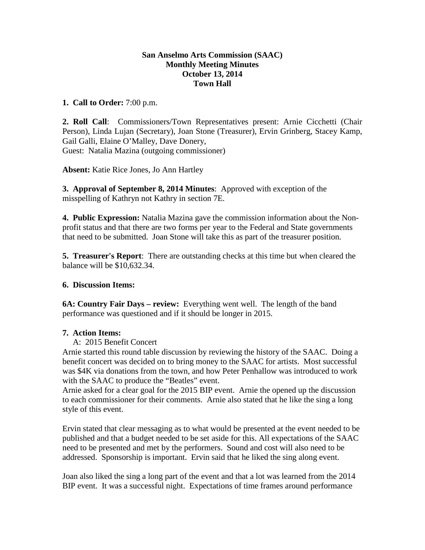## **San Anselmo Arts Commission (SAAC) Monthly Meeting Minutes October 13, 2014 Town Hall**

### **1. Call to Order:** 7:00 p.m.

**2. Roll Call**: Commissioners/Town Representatives present: Arnie Cicchetti (Chair Person), Linda Lujan (Secretary), Joan Stone (Treasurer), Ervin Grinberg, Stacey Kamp, Gail Galli, Elaine O'Malley, Dave Donery, Guest: Natalia Mazina (outgoing commissioner)

**Absent:** Katie Rice Jones, Jo Ann Hartley

**3. Approval of September 8, 2014 Minutes**: Approved with exception of the misspelling of Kathryn not Kathry in section 7E.

**4. Public Expression:** Natalia Mazina gave the commission information about the Nonprofit status and that there are two forms per year to the Federal and State governments that need to be submitted. Joan Stone will take this as part of the treasurer position.

**5. Treasurer's Report**: There are outstanding checks at this time but when cleared the balance will be \$10,632.34.

# **6. Discussion Items:**

**6A: Country Fair Days – review:** Everything went well. The length of the band performance was questioned and if it should be longer in 2015.

# **7. Action Items:**

A: 2015 Benefit Concert

Arnie started this round table discussion by reviewing the history of the SAAC. Doing a benefit concert was decided on to bring money to the SAAC for artists. Most successful was \$4K via donations from the town, and how Peter Penhallow was introduced to work with the SAAC to produce the "Beatles" event.

Arnie asked for a clear goal for the 2015 BIP event. Arnie the opened up the discussion to each commissioner for their comments. Arnie also stated that he like the sing a long style of this event.

Ervin stated that clear messaging as to what would be presented at the event needed to be published and that a budget needed to be set aside for this. All expectations of the SAAC need to be presented and met by the performers. Sound and cost will also need to be addressed. Sponsorship is important. Ervin said that he liked the sing along event.

Joan also liked the sing a long part of the event and that a lot was learned from the 2014 BIP event. It was a successful night. Expectations of time frames around performance